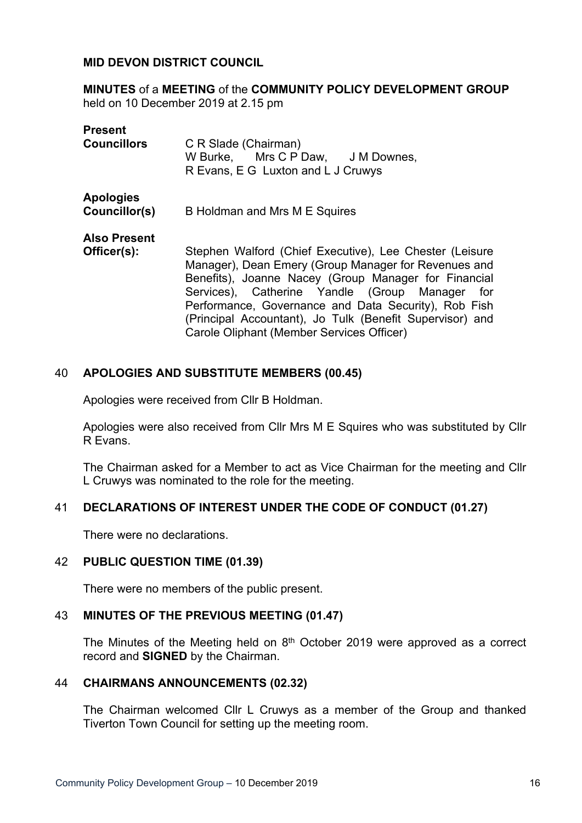## **MID DEVON DISTRICT COUNCIL**

**MINUTES** of a **MEETING** of the **COMMUNITY POLICY DEVELOPMENT GROUP** held on 10 December 2019 at 2.15 pm

| <b>Present</b>      |                                                          |
|---------------------|----------------------------------------------------------|
| <b>Councillors</b>  | C R Slade (Chairman)                                     |
|                     | W Burke, Mrs C P Daw, J M Downes,                        |
|                     | R Evans, E G Luxton and L J Cruwys                       |
| <b>Apologies</b>    |                                                          |
| Councillor(s)       | B Holdman and Mrs M E Squires                            |
| <b>Also Present</b> |                                                          |
| Officer(s):         | Stephen Walford (Chief Executive), Lee Chester (Leisure  |
|                     | Manager), Dean Emery (Group Manager for Revenues and     |
|                     | Benefits), Joanne Nacey (Group Manager for Financial     |
|                     | Services), Catherine Yandle (Group Manager<br>for        |
|                     | Performance, Governance and Data Security), Rob Fish     |
|                     | (Principal Accountant), Jo Tulk (Benefit Supervisor) and |
|                     | Carole Oliphant (Member Services Officer)                |

## 40 **APOLOGIES AND SUBSTITUTE MEMBERS (00.45)**

Apologies were received from Cllr B Holdman.

Apologies were also received from Cllr Mrs M E Squires who was substituted by Cllr R Evans.

The Chairman asked for a Member to act as Vice Chairman for the meeting and Cllr L Cruwys was nominated to the role for the meeting.

## 41 **DECLARATIONS OF INTEREST UNDER THE CODE OF CONDUCT (01.27)**

There were no declarations.

### 42 **PUBLIC QUESTION TIME (01.39)**

There were no members of the public present.

# 43 **MINUTES OF THE PREVIOUS MEETING (01.47)**

The Minutes of the Meeting held on  $8<sup>th</sup>$  October 2019 were approved as a correct record and **SIGNED** by the Chairman.

### 44 **CHAIRMANS ANNOUNCEMENTS (02.32)**

The Chairman welcomed Cllr L Cruwys as a member of the Group and thanked Tiverton Town Council for setting up the meeting room.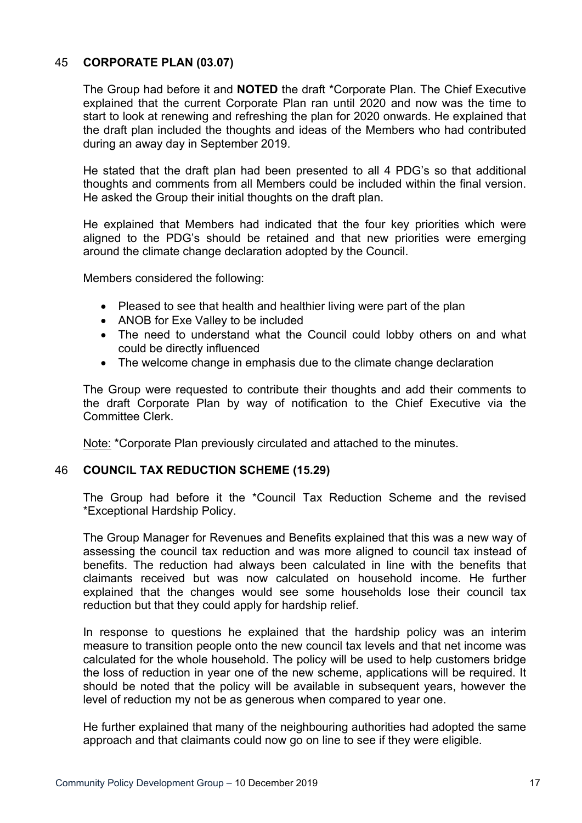# 45 **CORPORATE PLAN (03.07)**

The Group had before it and **NOTED** the draft \*Corporate Plan. The Chief Executive explained that the current Corporate Plan ran until 2020 and now was the time to start to look at renewing and refreshing the plan for 2020 onwards. He explained that the draft plan included the thoughts and ideas of the Members who had contributed during an away day in September 2019.

He stated that the draft plan had been presented to all 4 PDG's so that additional thoughts and comments from all Members could be included within the final version. He asked the Group their initial thoughts on the draft plan.

He explained that Members had indicated that the four key priorities which were aligned to the PDG's should be retained and that new priorities were emerging around the climate change declaration adopted by the Council.

Members considered the following:

- Pleased to see that health and healthier living were part of the plan
- ANOB for Exe Valley to be included
- The need to understand what the Council could lobby others on and what could be directly influenced
- The welcome change in emphasis due to the climate change declaration

The Group were requested to contribute their thoughts and add their comments to the draft Corporate Plan by way of notification to the Chief Executive via the Committee Clerk.

Note: \*Corporate Plan previously circulated and attached to the minutes.

## 46 **COUNCIL TAX REDUCTION SCHEME (15.29)**

The Group had before it the \*Council Tax Reduction Scheme and the revised \*Exceptional Hardship Policy.

The Group Manager for Revenues and Benefits explained that this was a new way of assessing the council tax reduction and was more aligned to council tax instead of benefits. The reduction had always been calculated in line with the benefits that claimants received but was now calculated on household income. He further explained that the changes would see some households lose their council tax reduction but that they could apply for hardship relief.

In response to questions he explained that the hardship policy was an interim measure to transition people onto the new council tax levels and that net income was calculated for the whole household. The policy will be used to help customers bridge the loss of reduction in year one of the new scheme, applications will be required. It should be noted that the policy will be available in subsequent years, however the level of reduction my not be as generous when compared to year one.

He further explained that many of the neighbouring authorities had adopted the same approach and that claimants could now go on line to see if they were eligible.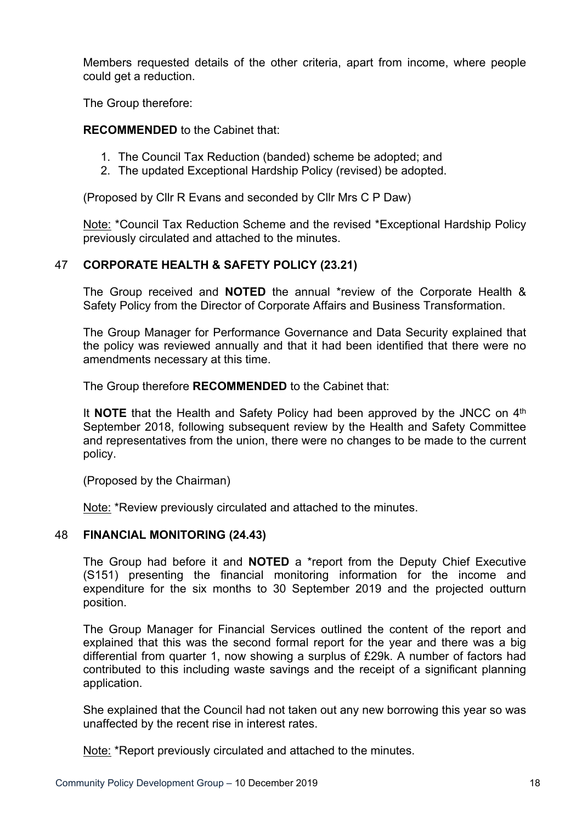Members requested details of the other criteria, apart from income, where people could get a reduction.

The Group therefore:

## **RECOMMENDED** to the Cabinet that:

- 1. The Council Tax Reduction (banded) scheme be adopted; and
- 2. The updated Exceptional Hardship Policy (revised) be adopted.

(Proposed by Cllr R Evans and seconded by Cllr Mrs C P Daw)

Note: \*Council Tax Reduction Scheme and the revised \*Exceptional Hardship Policy previously circulated and attached to the minutes.

## 47 **CORPORATE HEALTH & SAFETY POLICY (23.21)**

The Group received and **NOTED** the annual \*review of the Corporate Health & Safety Policy from the Director of Corporate Affairs and Business Transformation.

The Group Manager for Performance Governance and Data Security explained that the policy was reviewed annually and that it had been identified that there were no amendments necessary at this time.

The Group therefore **RECOMMENDED** to the Cabinet that:

It **NOTE** that the Health and Safety Policy had been approved by the JNCC on 4<sup>th</sup> September 2018, following subsequent review by the Health and Safety Committee and representatives from the union, there were no changes to be made to the current policy.

(Proposed by the Chairman)

Note: \*Review previously circulated and attached to the minutes.

### 48 **FINANCIAL MONITORING (24.43)**

The Group had before it and **NOTED** a \*report from the Deputy Chief Executive (S151) presenting the financial monitoring information for the income and expenditure for the six months to 30 September 2019 and the projected outturn position.

The Group Manager for Financial Services outlined the content of the report and explained that this was the second formal report for the year and there was a big differential from quarter 1, now showing a surplus of £29k. A number of factors had contributed to this including waste savings and the receipt of a significant planning application.

She explained that the Council had not taken out any new borrowing this year so was unaffected by the recent rise in interest rates.

Note: \*Report previously circulated and attached to the minutes.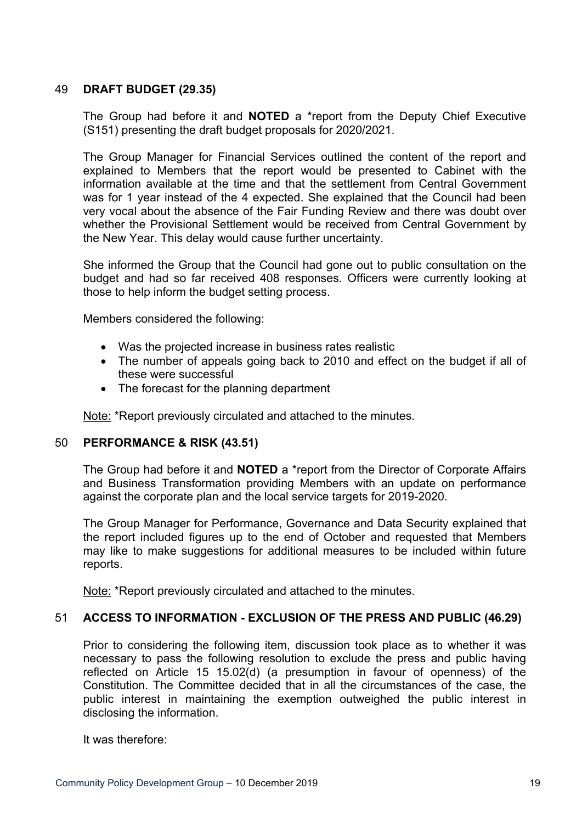# 49 **DRAFT BUDGET (29.35)**

The Group had before it and **NOTED** a \*report from the Deputy Chief Executive (S151) presenting the draft budget proposals for 2020/2021.

The Group Manager for Financial Services outlined the content of the report and explained to Members that the report would be presented to Cabinet with the information available at the time and that the settlement from Central Government was for 1 year instead of the 4 expected. She explained that the Council had been very vocal about the absence of the Fair Funding Review and there was doubt over whether the Provisional Settlement would be received from Central Government by the New Year. This delay would cause further uncertainty.

She informed the Group that the Council had gone out to public consultation on the budget and had so far received 408 responses. Officers were currently looking at those to help inform the budget setting process.

Members considered the following:

- Was the projected increase in business rates realistic
- The number of appeals going back to 2010 and effect on the budget if all of these were successful
- The forecast for the planning department

Note: \*Report previously circulated and attached to the minutes.

## 50 **PERFORMANCE & RISK (43.51)**

The Group had before it and **NOTED** a \*report from the Director of Corporate Affairs and Business Transformation providing Members with an update on performance against the corporate plan and the local service targets for 2019-2020.

The Group Manager for Performance, Governance and Data Security explained that the report included figures up to the end of October and requested that Members may like to make suggestions for additional measures to be included within future reports.

Note: \*Report previously circulated and attached to the minutes.

### 51 **ACCESS TO INFORMATION - EXCLUSION OF THE PRESS AND PUBLIC (46.29)**

Prior to considering the following item, discussion took place as to whether it was necessary to pass the following resolution to exclude the press and public having reflected on Article 15 15.02(d) (a presumption in favour of openness) of the Constitution. The Committee decided that in all the circumstances of the case, the public interest in maintaining the exemption outweighed the public interest in disclosing the information.

It was therefore: